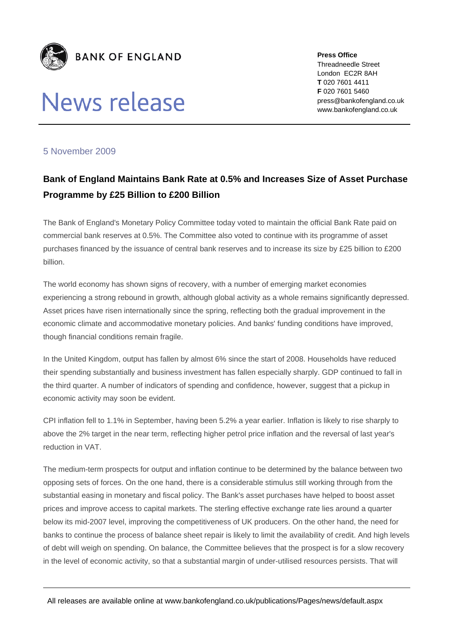

# News release

**Press Office**  Threadneedle Street London EC2R 8AH **T** 020 7601 4411 **F** 020 7601 5460 press@bankofengland.co.uk www.bankofengland.co.uk

## 5 November 2009

## **Bank of England Maintains Bank Rate at 0.5% and Increases Size of Asset Purchase Programme by £25 Billion to £200 Billion**

The Bank of England's Monetary Policy Committee today voted to maintain the official Bank Rate paid on commercial bank reserves at 0.5%. The Committee also voted to continue with its programme of asset purchases financed by the issuance of central bank reserves and to increase its size by £25 billion to £200 billion.

The world economy has shown signs of recovery, with a number of emerging market economies experiencing a strong rebound in growth, although global activity as a whole remains significantly depressed. Asset prices have risen internationally since the spring, reflecting both the gradual improvement in the economic climate and accommodative monetary policies. And banks' funding conditions have improved, though financial conditions remain fragile.

In the United Kingdom, output has fallen by almost 6% since the start of 2008. Households have reduced their spending substantially and business investment has fallen especially sharply. GDP continued to fall in the third quarter. A number of indicators of spending and confidence, however, suggest that a pickup in economic activity may soon be evident.

CPI inflation fell to 1.1% in September, having been 5.2% a year earlier. Inflation is likely to rise sharply to above the 2% target in the near term, reflecting higher petrol price inflation and the reversal of last year's reduction in VAT.

The medium-term prospects for output and inflation continue to be determined by the balance between two opposing sets of forces. On the one hand, there is a considerable stimulus still working through from the substantial easing in monetary and fiscal policy. The Bank's asset purchases have helped to boost asset prices and improve access to capital markets. The sterling effective exchange rate lies around a quarter below its mid-2007 level, improving the competitiveness of UK producers. On the other hand, the need for banks to continue the process of balance sheet repair is likely to limit the availability of credit. And high levels of debt will weigh on spending. On balance, the Committee believes that the prospect is for a slow recovery in the level of economic activity, so that a substantial margin of under-utilised resources persists. That will